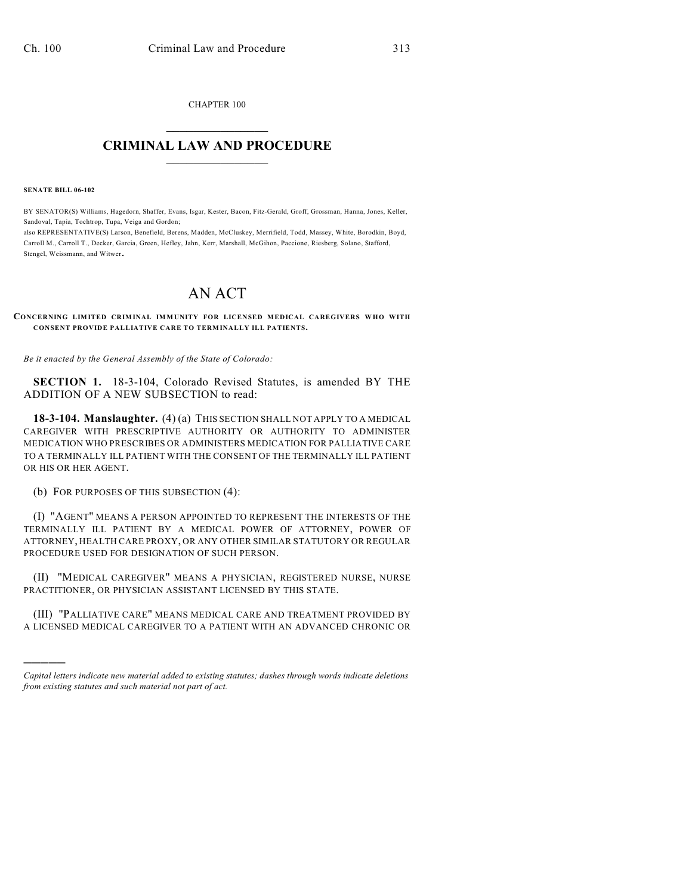CHAPTER 100  $\overline{\phantom{a}}$  . The set of the set of the set of the set of the set of the set of the set of the set of the set of the set of the set of the set of the set of the set of the set of the set of the set of the set of the set o

## **CRIMINAL LAW AND PROCEDURE**  $\frac{1}{2}$  ,  $\frac{1}{2}$  ,  $\frac{1}{2}$  ,  $\frac{1}{2}$  ,  $\frac{1}{2}$  ,  $\frac{1}{2}$  ,  $\frac{1}{2}$

**SENATE BILL 06-102**

)))))

BY SENATOR(S) Williams, Hagedorn, Shaffer, Evans, Isgar, Kester, Bacon, Fitz-Gerald, Groff, Grossman, Hanna, Jones, Keller, Sandoval, Tapia, Tochtrop, Tupa, Veiga and Gordon;

also REPRESENTATIVE(S) Larson, Benefield, Berens, Madden, McCluskey, Merrifield, Todd, Massey, White, Borodkin, Boyd, Carroll M., Carroll T., Decker, Garcia, Green, Hefley, Jahn, Kerr, Marshall, McGihon, Paccione, Riesberg, Solano, Stafford, Stengel, Weissmann, and Witwer.

## AN ACT

**CONCERNING LIMITED CRIMINAL IMMUNITY FOR LICENSED MEDICAL CAREGIVERS WHO WITH CONSENT PROVIDE PALLIATIVE CARE TO TERMINALLY ILL PATIENTS.**

*Be it enacted by the General Assembly of the State of Colorado:*

**SECTION 1.** 18-3-104, Colorado Revised Statutes, is amended BY THE ADDITION OF A NEW SUBSECTION to read:

**18-3-104. Manslaughter.** (4) (a) THIS SECTION SHALL NOT APPLY TO A MEDICAL CAREGIVER WITH PRESCRIPTIVE AUTHORITY OR AUTHORITY TO ADMINISTER MEDICATION WHO PRESCRIBES OR ADMINISTERS MEDICATION FOR PALLIATIVE CARE TO A TERMINALLY ILL PATIENT WITH THE CONSENT OF THE TERMINALLY ILL PATIENT OR HIS OR HER AGENT.

(b) FOR PURPOSES OF THIS SUBSECTION (4):

(I) "AGENT" MEANS A PERSON APPOINTED TO REPRESENT THE INTERESTS OF THE TERMINALLY ILL PATIENT BY A MEDICAL POWER OF ATTORNEY, POWER OF ATTORNEY, HEALTH CARE PROXY, OR ANY OTHER SIMILAR STATUTORY OR REGULAR PROCEDURE USED FOR DESIGNATION OF SUCH PERSON.

(II) "MEDICAL CAREGIVER" MEANS A PHYSICIAN, REGISTERED NURSE, NURSE PRACTITIONER, OR PHYSICIAN ASSISTANT LICENSED BY THIS STATE.

(III) "PALLIATIVE CARE" MEANS MEDICAL CARE AND TREATMENT PROVIDED BY A LICENSED MEDICAL CAREGIVER TO A PATIENT WITH AN ADVANCED CHRONIC OR

*Capital letters indicate new material added to existing statutes; dashes through words indicate deletions from existing statutes and such material not part of act.*